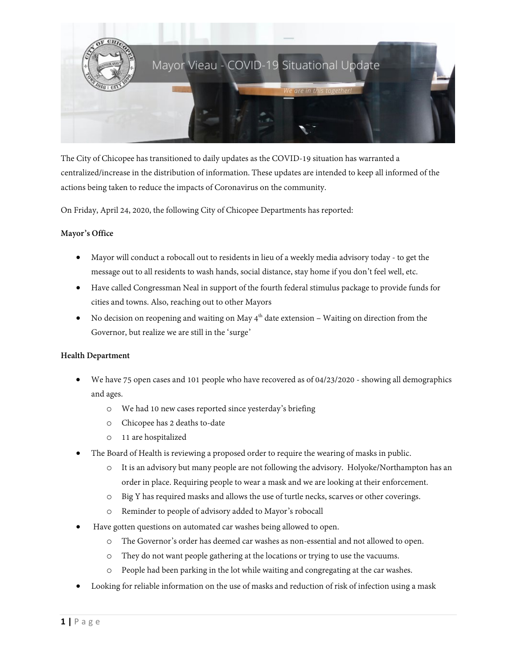

The City of Chicopee has transitioned to daily updates as the COVID-19 situation has warranted a centralized/increase in the distribution of information. These updates are intended to keep all informed of the actions being taken to reduce the impacts of Coronavirus on the community.

On Friday, April 24, 2020, the following City of Chicopee Departments has reported:

# **Mayor's Office**

- Mayor will conduct a robocall out to residents in lieu of a weekly media advisory today to get the message out to all residents to wash hands, social distance, stay home if you don't feel well, etc.
- Have called Congressman Neal in support of the fourth federal stimulus package to provide funds for cities and towns. Also, reaching out to other Mayors
- No decision on reopening and waiting on May  $4<sup>th</sup>$  date extension Waiting on direction from the Governor, but realize we are still in the 'surge'

### **Health Department**

- We have 75 open cases and 101 people who have recovered as of 04/23/2020 showing all demographics and ages.
	- o We had 10 new cases reported since yesterday's briefing
	- o Chicopee has 2 deaths to-date
	- o 11 are hospitalized
- The Board of Health is reviewing a proposed order to require the wearing of masks in public.
	- o It is an advisory but many people are not following the advisory. Holyoke/Northampton has an order in place. Requiring people to wear a mask and we are looking at their enforcement.
	- o Big Y has required masks and allows the use of turtle necks, scarves or other coverings.
	- o Reminder to people of advisory added to Mayor's robocall
- Have gotten questions on automated car washes being allowed to open.
	- o The Governor's order has deemed car washes as non-essential and not allowed to open.
	- o They do not want people gathering at the locations or trying to use the vacuums.
	- o People had been parking in the lot while waiting and congregating at the car washes.
- Looking for reliable information on the use of masks and reduction of risk of infection using a mask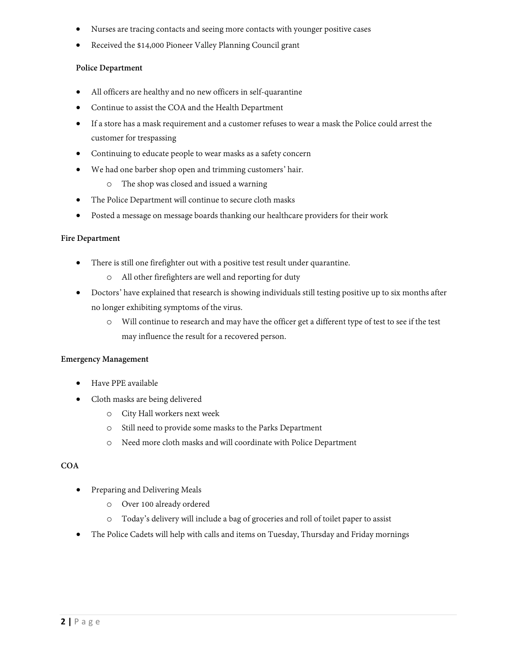- Nurses are tracing contacts and seeing more contacts with younger positive cases
- Received the \$14,000 Pioneer Valley Planning Council grant

### **Police Department**

- All officers are healthy and no new officers in self-quarantine
- Continue to assist the COA and the Health Department
- If a store has a mask requirement and a customer refuses to wear a mask the Police could arrest the customer for trespassing
- Continuing to educate people to wear masks as a safety concern
- We had one barber shop open and trimming customers' hair.
	- o The shop was closed and issued a warning
- The Police Department will continue to secure cloth masks
- Posted a message on message boards thanking our healthcare providers for their work

### **Fire Department**

- There is still one firefighter out with a positive test result under quarantine.
	- o All other firefighters are well and reporting for duty
- Doctors' have explained that research is showing individuals still testing positive up to six months after no longer exhibiting symptoms of the virus.
	- o Will continue to research and may have the officer get a different type of test to see if the test may influence the result for a recovered person.

### **Emergency Management**

- Have PPE available
- Cloth masks are being delivered
	- o City Hall workers next week
	- o Still need to provide some masks to the Parks Department
	- o Need more cloth masks and will coordinate with Police Department

### **COA**

- Preparing and Delivering Meals
	- o Over 100 already ordered
	- o Today's delivery will include a bag of groceries and roll of toilet paper to assist
- The Police Cadets will help with calls and items on Tuesday, Thursday and Friday mornings